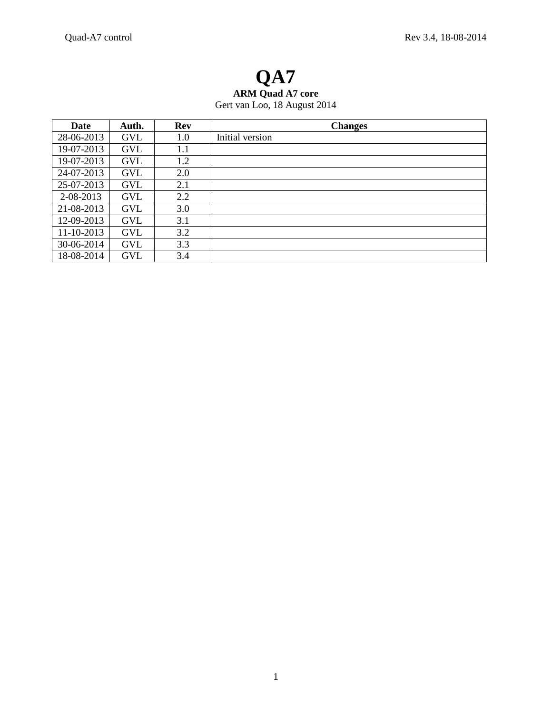# **QA7 ARM Quad A7 core** Gert van Loo, 18 August 2014

| Date       | Auth.      | <b>Rev</b> | <b>Changes</b>  |
|------------|------------|------------|-----------------|
| 28-06-2013 | <b>GVL</b> | 1.0        | Initial version |
| 19-07-2013 | <b>GVL</b> | 1.1        |                 |
| 19-07-2013 | <b>GVL</b> | 1.2        |                 |
| 24-07-2013 | <b>GVL</b> | 2.0        |                 |
| 25-07-2013 | <b>GVL</b> | 2.1        |                 |
| 2-08-2013  | <b>GVL</b> | 2.2        |                 |
| 21-08-2013 | <b>GVL</b> | 3.0        |                 |
| 12-09-2013 | <b>GVL</b> | 3.1        |                 |
| 11-10-2013 | GVL        | 3.2        |                 |
| 30-06-2014 | <b>GVL</b> | 3.3        |                 |
| 18-08-2014 | <b>GVL</b> | 3.4        |                 |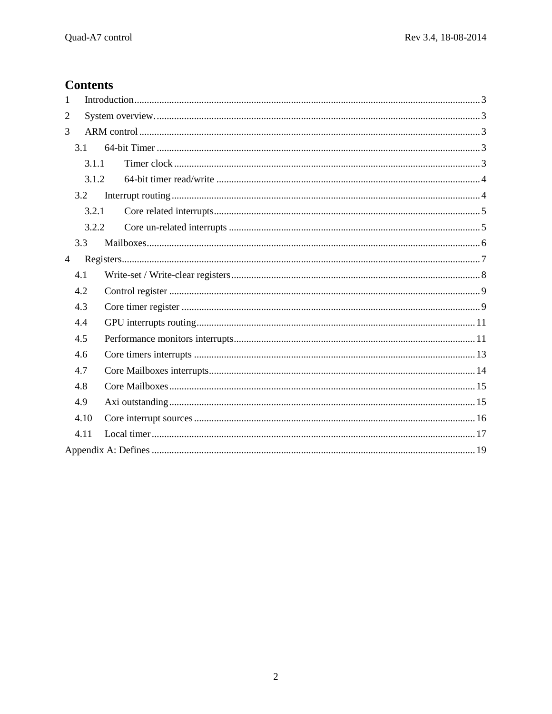# **Contents**

| 1              |       |  |
|----------------|-------|--|
| $\overline{2}$ |       |  |
| 3              |       |  |
|                | 3.1   |  |
|                | 3.1.1 |  |
|                | 3.1.2 |  |
|                | 3.2   |  |
|                | 3.2.1 |  |
|                | 3.2.2 |  |
|                | 3.3   |  |
| $\overline{4}$ |       |  |
|                | 4.1   |  |
|                | 4.2   |  |
|                | 4.3   |  |
|                | 4.4   |  |
|                | 4.5   |  |
|                | 4.6   |  |
|                | 4.7   |  |
|                | 4.8   |  |
|                | 4.9   |  |
|                | 4.10  |  |
|                | 4.11  |  |
|                |       |  |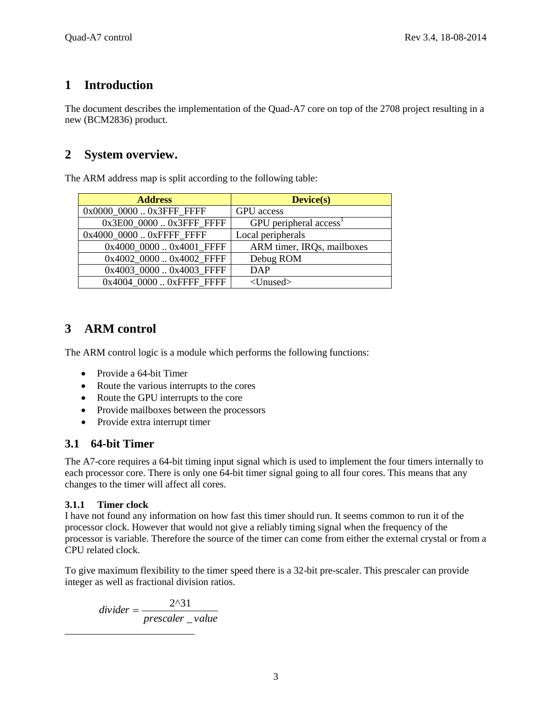# <span id="page-2-0"></span>**1 Introduction**

The document describes the implementation of the Quad-A7 core on top of the 2708 project resulting in a new (BCM2836) product.

## <span id="page-2-1"></span>**2 System overview.**

The ARM address map is split according to the following table:

| <b>Address</b>           | <b>Device(s)</b>                     |
|--------------------------|--------------------------------------|
| 0x0000_0000  0x3FFF_FFFF | <b>GPU</b> access                    |
| 0x3E00_0000  0x3FFF_FFFF | $GPU$ peripheral access <sup>1</sup> |
| 0x4000_0000  0xFFFF_FFFF | Local peripherals                    |
| 0x4000_0000  0x4001_FFFF | ARM timer, IRQs, mailboxes           |
| 0x4002_0000  0x4002_FFFF | Debug ROM                            |
| 0x4003_0000  0x4003_FFFF | DAP                                  |
| 0x4004_0000  0xFFFF_FFFF | $<$ Unused $>$                       |

# <span id="page-2-2"></span>**3 ARM control**

The ARM control logic is a module which performs the following functions:

- Provide a 64-bit Timer
- Route the various interrupts to the cores
- Route the GPU interrupts to the core
- Provide mailboxes between the processors
- Provide extra interrupt timer

### <span id="page-2-3"></span>**3.1 64-bit Timer**

The A7-core requires a 64-bit timing input signal which is used to implement the four timers internally to each processor core. There is only one 64-bit timer signal going to all four cores. This means that any changes to the timer will affect all cores.

#### <span id="page-2-4"></span>**3.1.1 Timer clock**

 $\overline{\phantom{a}}$ 

I have not found any information on how fast this timer should run. It seems common to run it of the processor clock. However that would not give a reliably timing signal when the frequency of the processor is variable. Therefore the source of the timer can come from either the external crystal or from a CPU related clock.

To give maximum flexibility to the timer speed there is a 32-bit pre-scaler. This prescaler can provide integer as well as fractional division ratios.

*prescaler* \_value *divider* \_  $=\frac{2^{2}}{1}$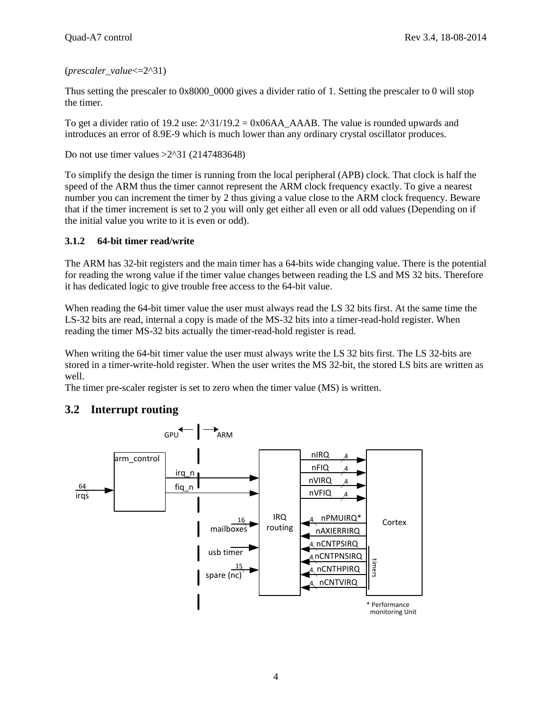#### (*prescaler\_value*<=2^31)

Thus setting the prescaler to 0x8000\_0000 gives a divider ratio of 1. Setting the prescaler to 0 will stop the timer.

To get a divider ratio of 19.2 use:  $2^{\text{31}}/19.2 = 0x06AA$  AAAB. The value is rounded upwards and introduces an error of 8.9E-9 which is much lower than any ordinary crystal oscillator produces.

Do not use timer values >2^31 (2147483648)

To simplify the design the timer is running from the local peripheral (APB) clock. That clock is half the speed of the ARM thus the timer cannot represent the ARM clock frequency exactly. To give a nearest number you can increment the timer by 2 thus giving a value close to the ARM clock frequency. Beware that if the timer increment is set to 2 you will only get either all even or all odd values (Depending on if the initial value you write to it is even or odd).

#### <span id="page-3-0"></span>**3.1.2 64-bit timer read/write**

The ARM has 32-bit registers and the main timer has a 64-bits wide changing value. There is the potential for reading the wrong value if the timer value changes between reading the LS and MS 32 bits. Therefore it has dedicated logic to give trouble free access to the 64-bit value.

When reading the 64-bit timer value the user must always read the LS 32 bits first. At the same time the LS-32 bits are read, internal a copy is made of the MS-32 bits into a timer-read-hold register. When reading the timer MS-32 bits actually the timer-read-hold register is read.

When writing the 64-bit timer value the user must always write the LS 32 bits first. The LS 32-bits are stored in a timer-write-hold register. When the user writes the MS 32-bit, the stored LS bits are written as well.

The timer pre-scaler register is set to zero when the timer value (MS) is written.



### <span id="page-3-1"></span>**3.2 Interrupt routing**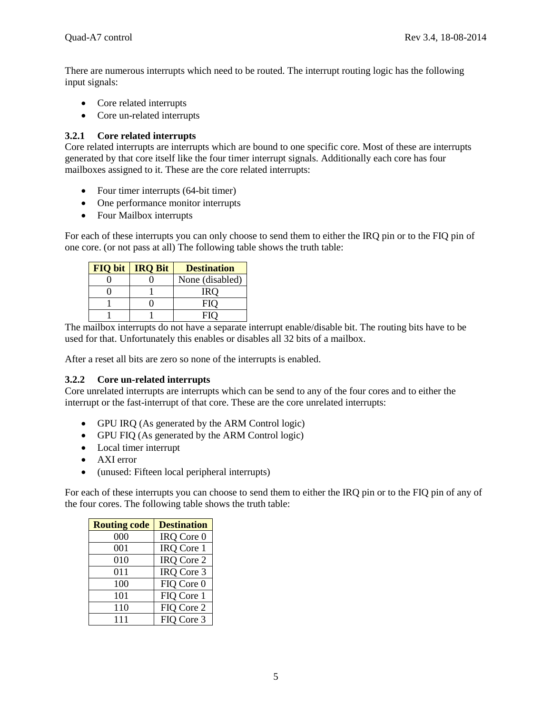There are numerous interrupts which need to be routed. The interrupt routing logic has the following input signals:

- Core related interrupts
- Core un-related interrupts

#### <span id="page-4-0"></span>**3.2.1 Core related interrupts**

Core related interrupts are interrupts which are bound to one specific core. Most of these are interrupts generated by that core itself like the four timer interrupt signals. Additionally each core has four mailboxes assigned to it. These are the core related interrupts:

- Four timer interrupts (64-bit timer)
- One performance monitor interrupts
- Four Mailbox interrupts

For each of these interrupts you can only choose to send them to either the IRQ pin or to the FIQ pin of one core. (or not pass at all) The following table shows the truth table:

| <b>FIQ bit</b> | <b>IRQ Bit</b> | <b>Destination</b> |
|----------------|----------------|--------------------|
|                |                | None (disabled)    |
|                |                | IRO                |
|                |                | FIO                |
|                |                | FIO                |

The mailbox interrupts do not have a separate interrupt enable/disable bit. The routing bits have to be used for that. Unfortunately this enables or disables all 32 bits of a mailbox.

After a reset all bits are zero so none of the interrupts is enabled.

#### <span id="page-4-1"></span>**3.2.2 Core un-related interrupts**

Core unrelated interrupts are interrupts which can be send to any of the four cores and to either the interrupt or the fast-interrupt of that core. These are the core unrelated interrupts:

- GPU IRQ (As generated by the ARM Control logic)
- GPU FIQ (As generated by the ARM Control logic)
- Local timer interrupt
- AXI error
- (unused: Fifteen local peripheral interrupts)

For each of these interrupts you can choose to send them to either the IRQ pin or to the FIQ pin of any of the four cores. The following table shows the truth table:

| <b>Routing code</b> | <b>Destination</b> |
|---------------------|--------------------|
| 000                 | IRQ Core 0         |
| 001                 | IRQ Core 1         |
| 010                 | IRQ Core 2         |
| 011                 | IRQ Core 3         |
| 100                 | FIQ Core 0         |
| 101                 | FIQ Core 1         |
| 110                 | FIQ Core 2         |
| 111                 | FIQ Core 3         |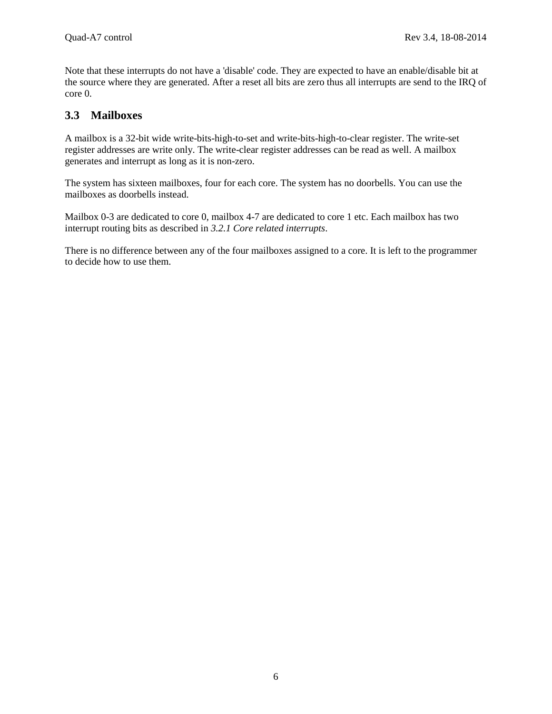Note that these interrupts do not have a 'disable' code. They are expected to have an enable/disable bit at the source where they are generated. After a reset all bits are zero thus all interrupts are send to the IRQ of core 0.

#### <span id="page-5-0"></span>**3.3 Mailboxes**

A mailbox is a 32-bit wide write-bits-high-to-set and write-bits-high-to-clear register. The write-set register addresses are write only. The write-clear register addresses can be read as well. A mailbox generates and interrupt as long as it is non-zero.

The system has sixteen mailboxes, four for each core. The system has no doorbells. You can use the mailboxes as doorbells instead.

Mailbox 0-3 are dedicated to core 0, mailbox 4-7 are dedicated to core 1 etc. Each mailbox has two interrupt routing bits as described in *[3.2.1](#page-4-0) [Core related interrupts](#page-4-0)*.

There is no difference between any of the four mailboxes assigned to a core. It is left to the programmer to decide how to use them.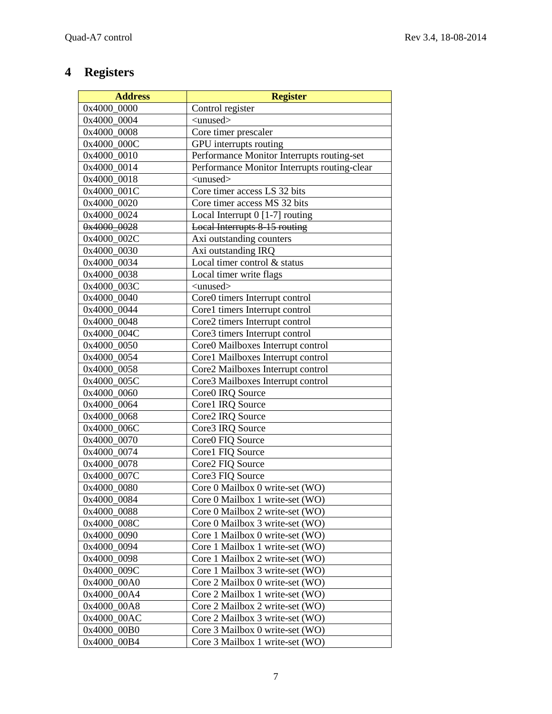# <span id="page-6-0"></span>**4 Registers**

| <b>Address</b> | <b>Register</b>                              |
|----------------|----------------------------------------------|
| 0x4000 0000    | Control register                             |
| 0x4000 0004    | $\langle$ unused $\rangle$                   |
| 0x4000 0008    | Core timer prescaler                         |
| 0x4000 000C    | GPU interrupts routing                       |
| 0x4000_0010    | Performance Monitor Interrupts routing-set   |
| 0x4000_0014    | Performance Monitor Interrupts routing-clear |
| 0x4000 0018    | $\langle$ unused $\rangle$                   |
| 0x4000 001C    | Core timer access LS 32 bits                 |
| 0x4000 0020    | Core timer access MS 32 bits                 |
| 0x4000 0024    | Local Interrupt $0$ [1-7] routing            |
| 0x4000 0028    | Local Interrupts 8-15 routing                |
| 0x4000 002C    | Axi outstanding counters                     |
| 0x4000 0030    | Axi outstanding IRQ                          |
| 0x4000 0034    | Local timer control & status                 |
| 0x4000 0038    | Local timer write flags                      |
| 0x4000 003C    | <unused></unused>                            |
| 0x4000_0040    | Core0 timers Interrupt control               |
| 0x4000 0044    | Core1 timers Interrupt control               |
| 0x4000 0048    | Core2 timers Interrupt control               |
| 0x4000 004C    | Core3 timers Interrupt control               |
| 0x4000 0050    | Core0 Mailboxes Interrupt control            |
| 0x4000 0054    | Core1 Mailboxes Interrupt control            |
| 0x4000 0058    | Core2 Mailboxes Interrupt control            |
| 0x4000 005C    | Core3 Mailboxes Interrupt control            |
| 0x4000 0060    | Core0 IRQ Source                             |
| 0x4000_0064    | Core1 IRQ Source                             |
| 0x4000_0068    | Core2 IRQ Source                             |
| 0x4000 006C    | Core3 IRQ Source                             |
| 0x4000 0070    | Core0 FIQ Source                             |
| 0x4000 0074    | Core1 FIQ Source                             |
| 0x4000 0078    | Core2 FIQ Source                             |
| 0x4000 007C    | Core3 FIQ Source                             |
| 0x4000 0080    | Core 0 Mailbox 0 write-set (WO)              |
| 0x4000_0084    | Core 0 Mailbox 1 write-set (WO)              |
| 0x4000 0088    | Core 0 Mailbox 2 write-set (WO)              |
| 0x4000_008C    | Core 0 Mailbox 3 write-set (WO)              |
| 0x4000 0090    | Core 1 Mailbox 0 write-set (WO)              |
| 0x4000_0094    | Core 1 Mailbox 1 write-set (WO)              |
| 0x4000 0098    | Core 1 Mailbox 2 write-set (WO)              |
| 0x4000 009C    | Core 1 Mailbox 3 write-set (WO)              |
| 0x4000_00A0    | Core 2 Mailbox 0 write-set (WO)              |
| 0x4000_00A4    | Core 2 Mailbox 1 write-set (WO)              |
| 0x4000_00A8    | Core 2 Mailbox 2 write-set (WO)              |
| 0x4000 00AC    | Core 2 Mailbox 3 write-set (WO)              |
| 0x4000_00B0    | Core 3 Mailbox 0 write-set (WO)              |
| 0x4000_00B4    | Core 3 Mailbox 1 write-set (WO)              |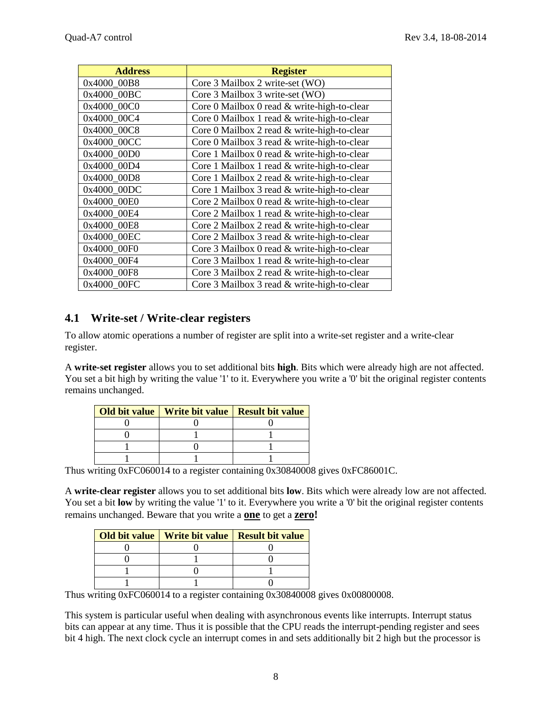| <b>Address</b> | <b>Register</b>                             |
|----------------|---------------------------------------------|
| 0x4000_00B8    | Core 3 Mailbox 2 write-set (WO)             |
| 0x4000 00BC    | Core 3 Mailbox 3 write-set (WO)             |
| 0x4000 00C0    | Core 0 Mailbox 0 read & write-high-to-clear |
| 0x4000 00C4    | Core 0 Mailbox 1 read & write-high-to-clear |
| 0x4000 00C8    | Core 0 Mailbox 2 read & write-high-to-clear |
| 0x4000 00CC    | Core 0 Mailbox 3 read & write-high-to-clear |
| 0x4000_00D0    | Core 1 Mailbox 0 read & write-high-to-clear |
| 0x4000_00D4    | Core 1 Mailbox 1 read & write-high-to-clear |
| 0x4000_00D8    | Core 1 Mailbox 2 read & write-high-to-clear |
| 0x4000 00DC    | Core 1 Mailbox 3 read & write-high-to-clear |
| 0x4000 00E0    | Core 2 Mailbox 0 read & write-high-to-clear |
| 0x4000_00E4    | Core 2 Mailbox 1 read & write-high-to-clear |
| 0x4000_00E8    | Core 2 Mailbox 2 read & write-high-to-clear |
| 0x4000_00EC    | Core 2 Mailbox 3 read & write-high-to-clear |
| 0x4000 00F0    | Core 3 Mailbox 0 read & write-high-to-clear |
| 0x4000 00F4    | Core 3 Mailbox 1 read & write-high-to-clear |
| 0x4000_00F8    | Core 3 Mailbox 2 read & write-high-to-clear |
| 0x4000 00FC    | Core 3 Mailbox 3 read & write-high-to-clear |

### <span id="page-7-0"></span>**4.1 Write-set / Write-clear registers**

To allow atomic operations a number of register are split into a write-set register and a write-clear register.

A **write-set register** allows you to set additional bits **high**. Bits which were already high are not affected. You set a bit high by writing the value '1' to it. Everywhere you write a '0' bit the original register contents remains unchanged.

| Old bit value   Write bit value   Result bit value |  |
|----------------------------------------------------|--|
|                                                    |  |
|                                                    |  |
|                                                    |  |
|                                                    |  |

Thus writing 0xFC060014 to a register containing 0x30840008 gives 0xFC86001C.

A **write-clear register** allows you to set additional bits **low**. Bits which were already low are not affected. You set a bit **low** by writing the value '1' to it. Everywhere you write a '0' bit the original register contents remains unchanged. Beware that you write a **one** to get a **zero!**

| <b>Old bit value</b>   Write bit value   Result bit value |  |
|-----------------------------------------------------------|--|
|                                                           |  |
|                                                           |  |
|                                                           |  |
|                                                           |  |

Thus writing 0xFC060014 to a register containing 0x30840008 gives 0x00800008.

This system is particular useful when dealing with asynchronous events like interrupts. Interrupt status bits can appear at any time. Thus it is possible that the CPU reads the interrupt-pending register and sees bit 4 high. The next clock cycle an interrupt comes in and sets additionally bit 2 high but the processor is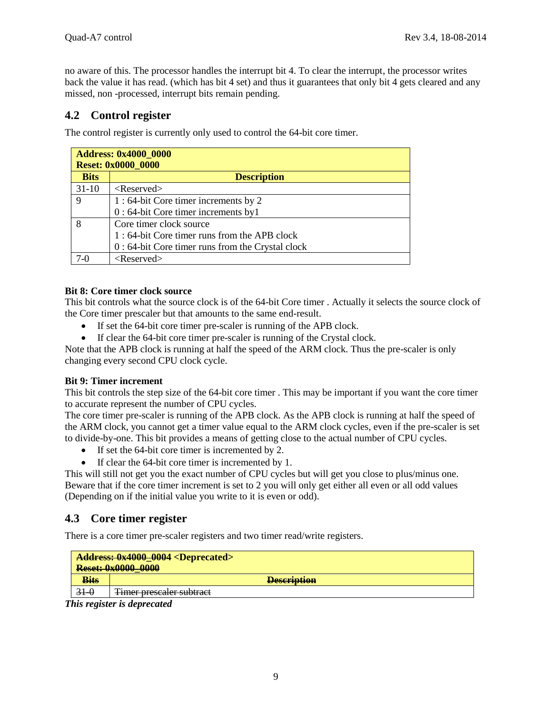no aware of this. The processor handles the interrupt bit 4. To clear the interrupt, the processor writes back the value it has read. (which has bit 4 set) and thus it guarantees that only bit 4 gets cleared and any missed, non -processed, interrupt bits remain pending.

### <span id="page-8-0"></span>**4.2 Control register**

The control register is currently only used to control the 64-bit core timer.

| <b>Address: 0x4000_0000</b><br><b>Reset: 0x0000_0000</b> |                                                    |  |
|----------------------------------------------------------|----------------------------------------------------|--|
| <b>Bits</b>                                              | <b>Description</b>                                 |  |
| $31-10$                                                  | $<$ Reserved $>$                                   |  |
| 9                                                        | 1:64-bit Core timer increments by 2                |  |
|                                                          | 0 : 64-bit Core timer increments by1               |  |
| 8                                                        | Core timer clock source                            |  |
|                                                          | 1:64-bit Core timer runs from the APB clock        |  |
|                                                          | $0:64$ -bit Core timer runs from the Crystal clock |  |
| 7-በ                                                      | $<$ Reserved $>$                                   |  |

#### **Bit 8: Core timer clock source**

This bit controls what the source clock is of the 64-bit Core timer . Actually it selects the source clock of the Core timer prescaler but that amounts to the same end-result.

- If set the 64-bit core timer pre-scaler is running of the APB clock.
- If clear the 64-bit core timer pre-scaler is running of the Crystal clock.

Note that the APB clock is running at half the speed of the ARM clock. Thus the pre-scaler is only changing every second CPU clock cycle.

#### **Bit 9: Timer increment**

This bit controls the step size of the 64-bit core timer . This may be important if you want the core timer to accurate represent the number of CPU cycles.

The core timer pre-scaler is running of the APB clock. As the APB clock is running at half the speed of the ARM clock, you cannot get a timer value equal to the ARM clock cycles, even if the pre-scaler is set to divide-by-one. This bit provides a means of getting close to the actual number of CPU cycles.

- If set the 64-bit core timer is incremented by 2.
- If clear the 64-bit core timer is incremented by 1.

This will still not get you the exact number of CPU cycles but will get you close to plus/minus one. Beware that if the core timer increment is set to 2 you will only get either all even or all odd values (Depending on if the initial value you write to it is even or odd).

#### <span id="page-8-1"></span>**4.3 Core timer register**

There is a core timer pre-scaler registers and two timer read/write registers.

|             | <b>Address: 0x4000 0004 <deprecated></deprecated></b><br><b>Reset: 0x0000 0000</b> |
|-------------|------------------------------------------------------------------------------------|
| <b>Bits</b> | <b>Description</b>                                                                 |
| $31 - 0$    | Timor processor cuptract<br><del>rimer presearch subtract</del>                    |

*This register is deprecated*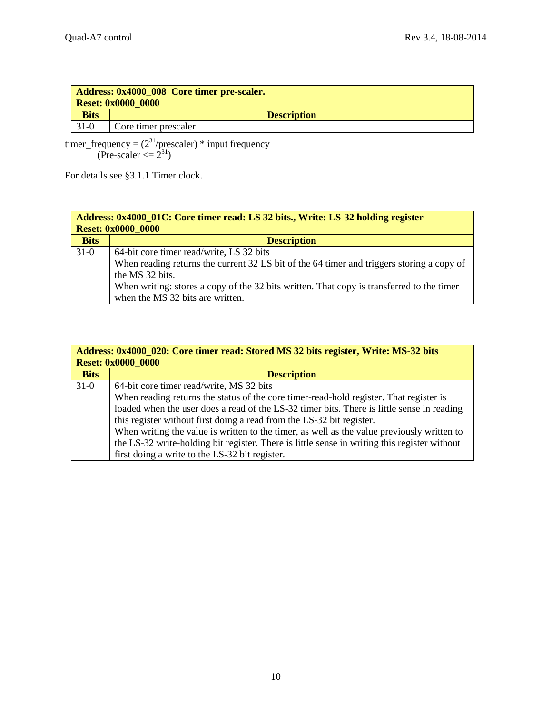|             | Address: 0x4000_008 Core timer pre-scaler.<br><b>Reset: 0x0000 0000</b> |  |  |
|-------------|-------------------------------------------------------------------------|--|--|
| <b>Bits</b> | <b>Description</b>                                                      |  |  |
| $31-0$      | Core timer prescaler                                                    |  |  |

timer\_frequency =  $(2^{31}/\text{prescale})$  \* input frequency (Pre-scaler  $\langle = 2^{31} \rangle$ 

For details see [§3.1.1](#page-2-4) [Timer clock.](#page-2-4)

| Address: 0x4000_01C: Core timer read: LS 32 bits., Write: LS-32 holding register<br><b>Reset: 0x0000_0000</b> |                                                                                           |  |
|---------------------------------------------------------------------------------------------------------------|-------------------------------------------------------------------------------------------|--|
| <b>Bits</b>                                                                                                   | <b>Description</b>                                                                        |  |
| $31-0$                                                                                                        | 64-bit core timer read/write, LS 32 bits                                                  |  |
|                                                                                                               | When reading returns the current 32 LS bit of the 64 timer and triggers storing a copy of |  |
|                                                                                                               | the MS 32 bits.                                                                           |  |
|                                                                                                               | When writing: stores a copy of the 32 bits written. That copy is transferred to the timer |  |
|                                                                                                               | when the MS 32 bits are written.                                                          |  |

| Address: 0x4000_020: Core timer read: Stored MS 32 bits register, Write: MS-32 bits |                                                                                              |  |  |
|-------------------------------------------------------------------------------------|----------------------------------------------------------------------------------------------|--|--|
|                                                                                     | <b>Reset: 0x0000_0000</b>                                                                    |  |  |
| <b>Bits</b>                                                                         | <b>Description</b>                                                                           |  |  |
| $31-0$                                                                              | 64-bit core timer read/write, MS 32 bits                                                     |  |  |
|                                                                                     | When reading returns the status of the core timer-read-hold register. That register is       |  |  |
|                                                                                     | loaded when the user does a read of the LS-32 timer bits. There is little sense in reading   |  |  |
|                                                                                     | this register without first doing a read from the LS-32 bit register.                        |  |  |
|                                                                                     | When writing the value is written to the timer, as well as the value previously written to   |  |  |
|                                                                                     | the LS-32 write-holding bit register. There is little sense in writing this register without |  |  |
|                                                                                     | first doing a write to the LS-32 bit register.                                               |  |  |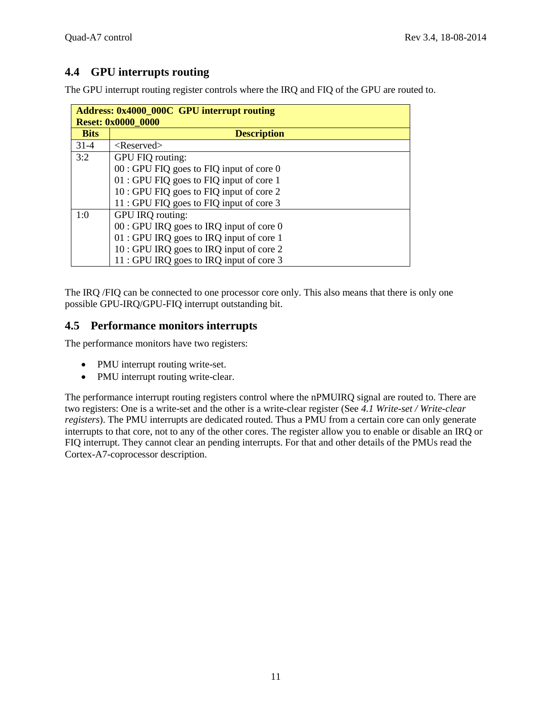## <span id="page-10-0"></span>**4.4 GPU interrupts routing**

The GPU interrupt routing register controls where the IRQ and FIQ of the GPU are routed to.

| <b>Address: 0x4000_000C GPU interrupt routing</b> |                                           |  |  |
|---------------------------------------------------|-------------------------------------------|--|--|
|                                                   | <b>Reset: 0x0000 0000</b>                 |  |  |
| <b>Bits</b>                                       | <b>Description</b>                        |  |  |
| $31-4$                                            | $<$ Reserved $>$                          |  |  |
| 3:2                                               | GPU FIQ routing:                          |  |  |
|                                                   | $00:$ GPU FIQ goes to FIQ input of core 0 |  |  |
|                                                   | 01 : GPU FIQ goes to FIQ input of core 1  |  |  |
|                                                   | 10 : GPU FIQ goes to FIQ input of core 2  |  |  |
|                                                   | 11 : GPU FIQ goes to FIQ input of core 3  |  |  |
| 1:0                                               | GPU IRQ routing:                          |  |  |
|                                                   | $00:$ GPU IRQ goes to IRQ input of core 0 |  |  |
|                                                   | 01 : GPU IRQ goes to IRQ input of core 1  |  |  |
|                                                   | 10 : GPU IRQ goes to IRQ input of core 2  |  |  |
|                                                   | 11 : GPU IRQ goes to IRQ input of core 3  |  |  |

The IRQ /FIQ can be connected to one processor core only. This also means that there is only one possible GPU-IRQ/GPU-FIQ interrupt outstanding bit.

## <span id="page-10-1"></span>**4.5 Performance monitors interrupts**

The performance monitors have two registers:

- PMU interrupt routing write-set.
- PMU interrupt routing write-clear.

The performance interrupt routing registers control where the nPMUIRQ signal are routed to. There are two registers: One is a write-set and the other is a write-clear register (See *[4.1](#page-7-0) [Write-set / Write-clear](#page-7-0) [registers](#page-7-0)*). The PMU interrupts are dedicated routed. Thus a PMU from a certain core can only generate interrupts to that core, not to any of the other cores. The register allow you to enable or disable an IRQ or FIQ interrupt. They cannot clear an pending interrupts. For that and other details of the PMUs read the Cortex-A7-coprocessor description.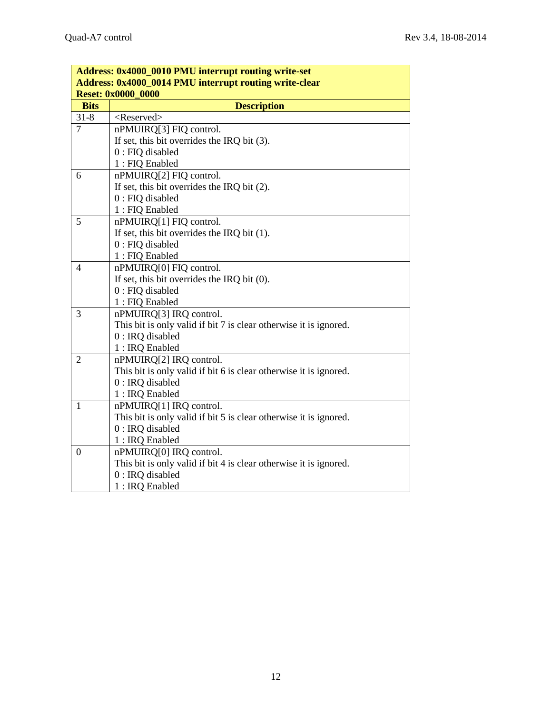| Address: 0x4000_0010 PMU interrupt routing write-set   |                                                                   |  |
|--------------------------------------------------------|-------------------------------------------------------------------|--|
| Address: 0x4000_0014 PMU interrupt routing write-clear |                                                                   |  |
| <b>Reset: 0x0000_0000</b>                              |                                                                   |  |
| <b>Bits</b>                                            | <b>Description</b>                                                |  |
| $31 - 8$                                               | <reserved></reserved>                                             |  |
| $\overline{7}$                                         | nPMUIRQ[3] FIQ control.                                           |  |
|                                                        | If set, this bit overrides the IRQ bit $(3)$ .                    |  |
|                                                        | $0$ : FIQ disabled                                                |  |
|                                                        | 1 : FIQ Enabled                                                   |  |
| 6                                                      | nPMUIRQ[2] FIQ control.                                           |  |
|                                                        | If set, this bit overrides the IRQ bit $(2)$ .                    |  |
|                                                        | $0:$ FIQ disabled                                                 |  |
|                                                        | 1 : FIQ Enabled                                                   |  |
| 5                                                      | nPMUIRQ[1] FIQ control.                                           |  |
|                                                        | If set, this bit overrides the IRQ bit $(1)$ .                    |  |
|                                                        | $0:$ FIQ disabled                                                 |  |
|                                                        | 1 : FIQ Enabled                                                   |  |
| $\overline{4}$                                         | nPMUIRQ[0] FIQ control.                                           |  |
|                                                        | If set, this bit overrides the IRQ bit $(0)$ .                    |  |
|                                                        | $0:$ FIQ disabled                                                 |  |
|                                                        | 1 : FIQ Enabled                                                   |  |
| 3                                                      | nPMUIRQ[3] IRQ control.                                           |  |
|                                                        | This bit is only valid if bit 7 is clear otherwise it is ignored. |  |
|                                                        | $0:$ IRQ disabled                                                 |  |
|                                                        | 1 : IRQ Enabled                                                   |  |
| $\overline{2}$                                         | nPMUIRQ[2] IRQ control.                                           |  |
|                                                        | This bit is only valid if bit 6 is clear otherwise it is ignored. |  |
|                                                        | $0:$ IRQ disabled                                                 |  |
|                                                        | 1 : IRQ Enabled                                                   |  |
| $\mathbf{1}$                                           | nPMUIRQ[1] IRQ control.                                           |  |
|                                                        | This bit is only valid if bit 5 is clear otherwise it is ignored. |  |
|                                                        | $0:$ IRQ disabled                                                 |  |
|                                                        | 1 : IRQ Enabled                                                   |  |
| $\boldsymbol{0}$                                       | nPMUIRQ[0] IRQ control.                                           |  |
|                                                        | This bit is only valid if bit 4 is clear otherwise it is ignored. |  |
|                                                        | $0:$ IRQ disabled                                                 |  |
|                                                        | 1 : IRQ Enabled                                                   |  |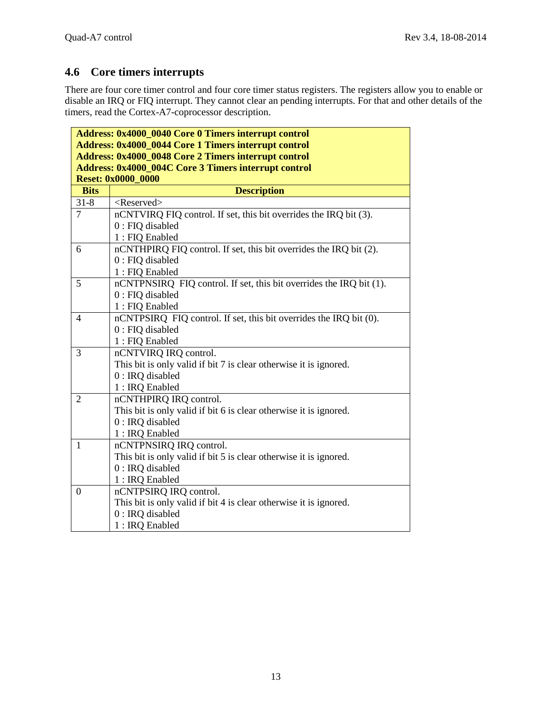## <span id="page-12-0"></span>**4.6 Core timers interrupts**

There are four core timer control and four core timer status registers. The registers allow you to enable or disable an IRQ or FIQ interrupt. They cannot clear an pending interrupts. For that and other details of the timers, read the Cortex-A7-coprocessor description.

| Address: 0x4000_0040 Core 0 Timers interrupt control |                                                                     |  |
|------------------------------------------------------|---------------------------------------------------------------------|--|
| Address: 0x4000_0044 Core 1 Timers interrupt control |                                                                     |  |
| Address: 0x4000_0048 Core 2 Timers interrupt control |                                                                     |  |
| Address: 0x4000_004C Core 3 Timers interrupt control |                                                                     |  |
| <b>Reset: 0x0000_0000</b>                            |                                                                     |  |
| <b>Bits</b>                                          | <b>Description</b>                                                  |  |
| $31 - 8$                                             | <reserved></reserved>                                               |  |
| $\overline{7}$                                       | nCNTVIRQ FIQ control. If set, this bit overrides the IRQ bit (3).   |  |
|                                                      | $0:$ FIQ disabled                                                   |  |
|                                                      | 1 : FIQ Enabled                                                     |  |
| 6                                                    | nCNTHPIRQ FIQ control. If set, this bit overrides the IRQ bit (2).  |  |
|                                                      | $0:$ FIQ disabled                                                   |  |
|                                                      | 1 : FIQ Enabled                                                     |  |
| 5                                                    | nCNTPNSIRQ FIQ control. If set, this bit overrides the IRQ bit (1). |  |
|                                                      | 0 : FIQ disabled                                                    |  |
|                                                      | 1 : FIQ Enabled                                                     |  |
| 4                                                    | nCNTPSIRQ FIQ control. If set, this bit overrides the IRQ bit (0).  |  |
|                                                      | $0:$ FIQ disabled                                                   |  |
|                                                      | 1 : FIQ Enabled                                                     |  |
| 3                                                    | nCNTVIRQ IRQ control.                                               |  |
|                                                      | This bit is only valid if bit 7 is clear otherwise it is ignored.   |  |
|                                                      | $0:$ IRQ disabled                                                   |  |
|                                                      | 1 : IRQ Enabled                                                     |  |
| $\overline{2}$                                       | nCNTHPIRQ IRQ control.                                              |  |
|                                                      | This bit is only valid if bit 6 is clear otherwise it is ignored.   |  |
|                                                      | $0:$ IRQ disabled                                                   |  |
|                                                      | 1 : IRQ Enabled                                                     |  |
| $\mathbf{1}$                                         | nCNTPNSIRQ IRQ control.                                             |  |
|                                                      | This bit is only valid if bit 5 is clear otherwise it is ignored.   |  |
|                                                      | $0:$ IRQ disabled                                                   |  |
|                                                      | 1 : IRQ Enabled                                                     |  |
| $\overline{0}$                                       | nCNTPSIRQ IRQ control.                                              |  |
|                                                      | This bit is only valid if bit 4 is clear otherwise it is ignored.   |  |
|                                                      | 0 : IRQ disabled                                                    |  |
|                                                      | 1 : IRQ Enabled                                                     |  |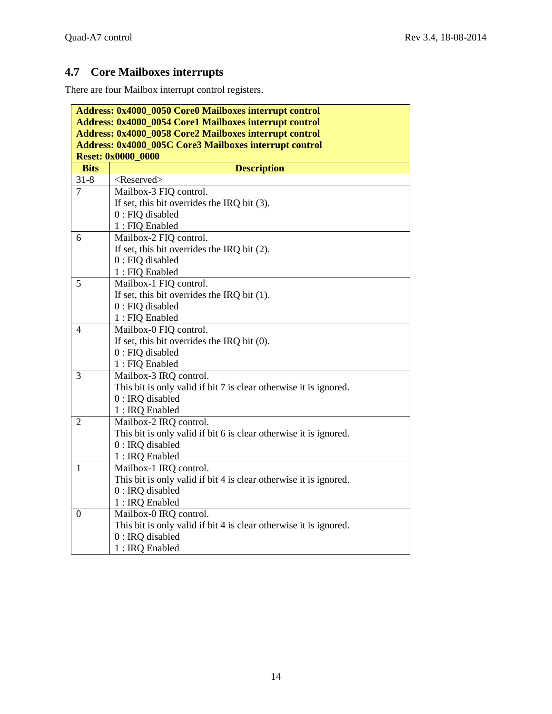# <span id="page-13-0"></span>**4.7 Core Mailboxes interrupts**

There are four Mailbox interrupt control registers.

| Address: 0x4000_0050 Core0 Mailboxes interrupt control                                                                  |                                                                   |  |                                                               |
|-------------------------------------------------------------------------------------------------------------------------|-------------------------------------------------------------------|--|---------------------------------------------------------------|
| <b>Address: 0x4000_0054 Core1 Mailboxes interrupt control</b><br>Address: 0x4000_0058 Core2 Mailboxes interrupt control |                                                                   |  |                                                               |
|                                                                                                                         |                                                                   |  | <b>Address: 0x4000_005C Core3 Mailboxes interrupt control</b> |
|                                                                                                                         | <b>Reset: 0x0000 0000</b>                                         |  |                                                               |
| <b>Bits</b>                                                                                                             | <b>Description</b>                                                |  |                                                               |
| $31 - 8$                                                                                                                | <reserved></reserved>                                             |  |                                                               |
| $\overline{7}$                                                                                                          | Mailbox-3 FIQ control.                                            |  |                                                               |
|                                                                                                                         | If set, this bit overrides the IRQ bit $(3)$ .                    |  |                                                               |
|                                                                                                                         | $0$ : FIQ disabled                                                |  |                                                               |
|                                                                                                                         | 1 : FIQ Enabled                                                   |  |                                                               |
| 6                                                                                                                       | Mailbox-2 FIQ control.                                            |  |                                                               |
|                                                                                                                         | If set, this bit overrides the IRQ bit $(2)$ .                    |  |                                                               |
|                                                                                                                         | 0 : FIQ disabled                                                  |  |                                                               |
|                                                                                                                         | 1 : FIQ Enabled                                                   |  |                                                               |
| 5                                                                                                                       | Mailbox-1 FIQ control.                                            |  |                                                               |
|                                                                                                                         | If set, this bit overrides the IRQ bit $(1)$ .                    |  |                                                               |
|                                                                                                                         | $0:$ FIQ disabled                                                 |  |                                                               |
|                                                                                                                         | 1 : FIQ Enabled                                                   |  |                                                               |
| 4                                                                                                                       | Mailbox-0 FIQ control.                                            |  |                                                               |
|                                                                                                                         | If set, this bit overrides the IRQ bit $(0)$ .                    |  |                                                               |
|                                                                                                                         | $0:$ FIQ disabled                                                 |  |                                                               |
|                                                                                                                         | 1 : FIQ Enabled                                                   |  |                                                               |
| 3                                                                                                                       | Mailbox-3 IRQ control.                                            |  |                                                               |
|                                                                                                                         | This bit is only valid if bit 7 is clear otherwise it is ignored. |  |                                                               |
|                                                                                                                         | 0 : IRQ disabled                                                  |  |                                                               |
|                                                                                                                         | 1 : IRQ Enabled                                                   |  |                                                               |
| $\overline{2}$                                                                                                          | Mailbox-2 IRQ control.                                            |  |                                                               |
|                                                                                                                         | This bit is only valid if bit 6 is clear otherwise it is ignored. |  |                                                               |
|                                                                                                                         | $0:$ IRQ disabled                                                 |  |                                                               |
|                                                                                                                         | 1 : IRQ Enabled                                                   |  |                                                               |
| $\mathbf{1}$                                                                                                            | Mailbox-1 IRQ control.                                            |  |                                                               |
|                                                                                                                         | This bit is only valid if bit 4 is clear otherwise it is ignored. |  |                                                               |
|                                                                                                                         | $0:$ IRQ disabled                                                 |  |                                                               |
|                                                                                                                         | 1 : IRQ Enabled                                                   |  |                                                               |
| $\boldsymbol{0}$                                                                                                        | Mailbox-0 IRQ control.                                            |  |                                                               |
|                                                                                                                         | This bit is only valid if bit 4 is clear otherwise it is ignored. |  |                                                               |
|                                                                                                                         | 0 : IRQ disabled                                                  |  |                                                               |
|                                                                                                                         | 1 : IRQ Enabled                                                   |  |                                                               |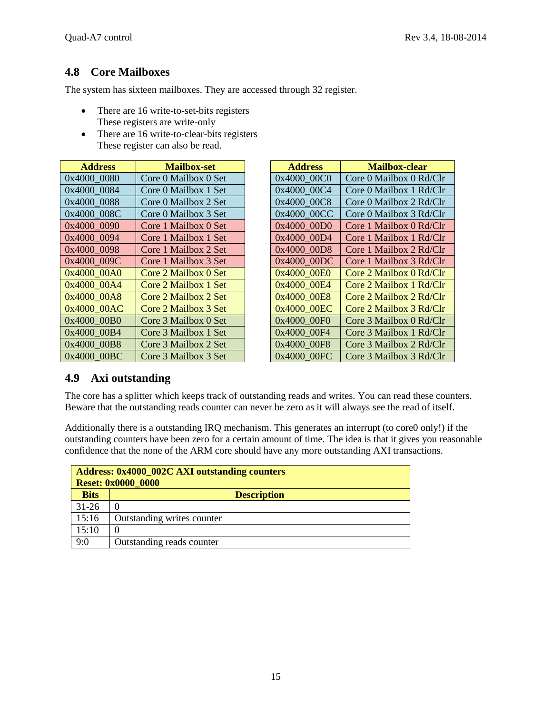## <span id="page-14-0"></span>**4.8 Core Mailboxes**

The system has sixteen mailboxes. They are accessed through 32 register.

- There are 16 write-to-set-bits registers These registers are write-only
- There are 16 write-to-clear-bits registers These register can also be read.

| <b>Address</b> | <b>Mailbox-set</b>   | <b>Address</b> | <b>Mailbox-clear</b>    |
|----------------|----------------------|----------------|-------------------------|
| 0x4000_0080    | Core 0 Mailbox 0 Set | 0x4000_00C0    | Core 0 Mailbox 0 Rd/Clr |
| 0x4000_0084    | Core 0 Mailbox 1 Set | 0x4000 00C4    | Core 0 Mailbox 1 Rd/Clr |
| 0x4000 0088    | Core 0 Mailbox 2 Set | 0x4000 00C8    | Core 0 Mailbox 2 Rd/Clr |
| 0x4000_008C    | Core 0 Mailbox 3 Set | 0x4000 00CC    | Core 0 Mailbox 3 Rd/Clr |
| 0x4000 0090    | Core 1 Mailbox 0 Set | 0x4000 00D0    | Core 1 Mailbox 0 Rd/Clr |
| 0x4000 0094    | Core 1 Mailbox 1 Set | 0x4000 00D4    | Core 1 Mailbox 1 Rd/Clr |
| 0x4000 0098    | Core 1 Mailbox 2 Set | 0x4000 00D8    | Core 1 Mailbox 2 Rd/Clr |
| 0x4000 009C    | Core 1 Mailbox 3 Set | 0x4000 00DC    | Core 1 Mailbox 3 Rd/Clr |
| 0x4000 00A0    | Core 2 Mailbox 0 Set | 0x4000 00E0    | Core 2 Mailbox 0 Rd/Clr |
| 0x4000_00A4    | Core 2 Mailbox 1 Set | 0x4000 00E4    | Core 2 Mailbox 1 Rd/Clr |
| 0x4000 00A8    | Core 2 Mailbox 2 Set | 0x4000 00E8    | Core 2 Mailbox 2 Rd/Clr |
| 0x4000 00AC    | Core 2 Mailbox 3 Set | 0x4000 00EC    | Core 2 Mailbox 3 Rd/Clr |
| 0x4000 00B0    | Core 3 Mailbox 0 Set | 0x4000 00F0    | Core 3 Mailbox 0 Rd/Clr |
| 0x4000 00B4    | Core 3 Mailbox 1 Set | 0x4000 00F4    | Core 3 Mailbox 1 Rd/Clr |
| 0x4000 00B8    | Core 3 Mailbox 2 Set | 0x4000_00F8    | Core 3 Mailbox 2 Rd/Clr |
| 0x4000_00BC    | Core 3 Mailbox 3 Set | 0x4000 00FC    | Core 3 Mailbox 3 Rd/Clr |

| <b>Address</b> | <b>Mailbox-clear</b>    |
|----------------|-------------------------|
| 0x4000 00C0    | Core 0 Mailbox 0 Rd/Clr |
| 0x4000 00C4    | Core 0 Mailbox 1 Rd/Clr |
| 0x4000 00C8    | Core 0 Mailbox 2 Rd/Clr |
| 0x4000 00CC    | Core 0 Mailbox 3 Rd/Clr |
| 0x4000 00D0    | Core 1 Mailbox 0 Rd/Clr |
| 0x4000 00D4    | Core 1 Mailbox 1 Rd/Clr |
| 0x4000 00D8    | Core 1 Mailbox 2 Rd/Clr |
| 0x4000 00DC    | Core 1 Mailbox 3 Rd/Clr |
| 0x4000 00E0    | Core 2 Mailbox 0 Rd/Clr |
| 0x4000 00E4    | Core 2 Mailbox 1 Rd/Clr |
| 0x4000 00E8    | Core 2 Mailbox 2 Rd/Clr |
| 0x4000 00EC    | Core 2 Mailbox 3 Rd/Clr |
| 0x4000 00F0    | Core 3 Mailbox 0 Rd/Clr |
| 0x4000 00F4    | Core 3 Mailbox 1 Rd/Clr |
| 0x4000 00F8    | Core 3 Mailbox 2 Rd/Clr |
| 0x4000 00FC    | Core 3 Mailbox 3 Rd/Clr |

### <span id="page-14-1"></span>**4.9 Axi outstanding**

The core has a splitter which keeps track of outstanding reads and writes. You can read these counters. Beware that the outstanding reads counter can never be zero as it will always see the read of itself.

Additionally there is a outstanding IRQ mechanism. This generates an interrupt (to core0 only!) if the outstanding counters have been zero for a certain amount of time. The idea is that it gives you reasonable confidence that the none of the ARM core should have any more outstanding AXI transactions.

| <b>Address: 0x4000_002C AXI outstanding counters</b><br><b>Reset: 0x0000 0000</b> |                            |  |
|-----------------------------------------------------------------------------------|----------------------------|--|
| <b>Bits</b>                                                                       | <b>Description</b>         |  |
| $31 - 26$                                                                         | $\Omega$                   |  |
| 15:16                                                                             | Outstanding writes counter |  |
| 15:10                                                                             | $\Omega$                   |  |
| 9:0                                                                               | Outstanding reads counter  |  |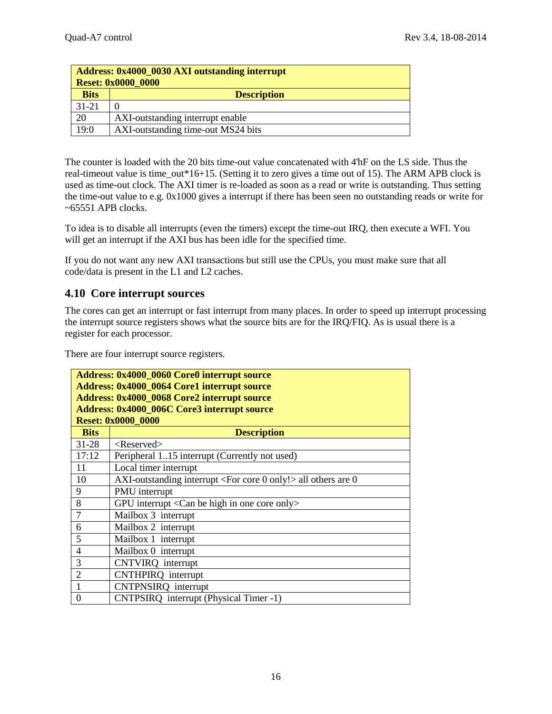| Address: 0x4000 0030 AXI outstanding interrupt<br><b>Reset: 0x0000 0000</b> |                                    |  |
|-----------------------------------------------------------------------------|------------------------------------|--|
| <b>Bits</b>                                                                 | <b>Description</b>                 |  |
| $31 - 21$                                                                   |                                    |  |
| 20                                                                          | AXI-outstanding interrupt enable   |  |
| 19:0                                                                        | AXI-outstanding time-out MS24 bits |  |

The counter is loaded with the 20 bits time-out value concatenated with 4'hF on the LS side. Thus the real-timeout value is time\_out\*16+15. (Setting it to zero gives a time out of 15). The ARM APB clock is used as time-out clock. The AXI timer is re-loaded as soon as a read or write is outstanding. Thus setting the time-out value to e.g. 0x1000 gives a interrupt if there has been seen no outstanding reads or write for  $~5551$  APB clocks.

To idea is to disable all interrupts (even the timers) except the time-out IRQ, then execute a WFI. You will get an interrupt if the AXI bus has been idle for the specified time.

If you do not want any new AXI transactions but still use the CPUs, you must make sure that all code/data is present in the L1 and L2 caches.

#### <span id="page-15-0"></span>**4.10 Core interrupt sources**

The cores can get an interrupt or fast interrupt from many places. In order to speed up interrupt processing the interrupt source registers shows what the source bits are for the IRQ/FIQ. As is usual there is a register for each processor.

There are four interrupt source registers.

| <b>Address: 0x4000 0060 Core0 interrupt source</b> |                                                                           |  |
|----------------------------------------------------|---------------------------------------------------------------------------|--|
| Address: 0x4000_0064 Core1 interrupt source        |                                                                           |  |
| <b>Address: 0x4000 0068 Core2 interrupt source</b> |                                                                           |  |
| <b>Address: 0x4000_006C Core3 interrupt source</b> |                                                                           |  |
|                                                    | <b>Reset: 0x0000_0000</b>                                                 |  |
| <b>Bits</b>                                        | <b>Description</b>                                                        |  |
| $31 - 28$                                          | $<$ Reserved $>$                                                          |  |
| 17:12                                              | Peripheral 115 interrupt (Currently not used)                             |  |
| 11                                                 | Local timer interrupt                                                     |  |
| 10                                                 | AXI-outstanding interrupt $\langle$ For core 0 only! $>$ all others are 0 |  |
| 9                                                  | PMU interrupt                                                             |  |
| 8                                                  | GPU interrupt $\langle$ Can be high in one core only $\rangle$            |  |
| $\overline{7}$                                     | Mailbox 3 interrupt                                                       |  |
| 6                                                  | Mailbox 2 interrupt                                                       |  |
| 5                                                  | Mailbox 1 interrupt                                                       |  |
| 4                                                  | Mailbox 0 interrupt                                                       |  |
| 3                                                  | <b>CNTVIRQ</b> interrupt                                                  |  |
| $\overline{2}$                                     | <b>CNTHPIRQ</b> interrupt                                                 |  |
|                                                    | CNTPNSIRQ interrupt                                                       |  |
| $\theta$                                           | CNTPSIRQ interrupt (Physical Timer -1)                                    |  |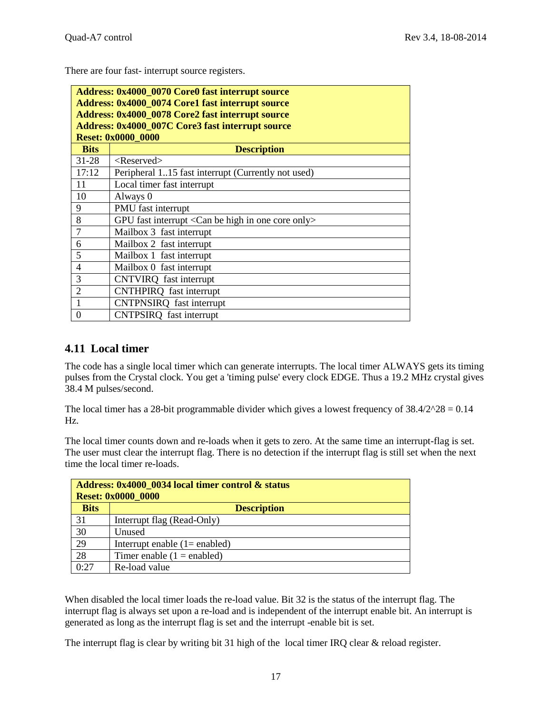There are four fast- interrupt source registers.

| <b>Address: 0x4000_0070 Core0 fast interrupt source</b><br>Address: 0x4000_0074 Core1 fast interrupt source<br><b>Address: 0x4000 0078 Core2 fast interrupt source</b><br><b>Address: 0x4000_007C Core3 fast interrupt source</b><br><b>Reset: 0x0000_0000</b> |                                                                     |  |
|----------------------------------------------------------------------------------------------------------------------------------------------------------------------------------------------------------------------------------------------------------------|---------------------------------------------------------------------|--|
| <b>Bits</b>                                                                                                                                                                                                                                                    | <b>Description</b>                                                  |  |
| $31 - 28$                                                                                                                                                                                                                                                      | $<$ Reserved $>$                                                    |  |
| 17:12                                                                                                                                                                                                                                                          | Peripheral 115 fast interrupt (Currently not used)                  |  |
| 11                                                                                                                                                                                                                                                             | Local timer fast interrupt                                          |  |
| 10                                                                                                                                                                                                                                                             | Always 0                                                            |  |
| 9                                                                                                                                                                                                                                                              | PMU fast interrupt                                                  |  |
| 8                                                                                                                                                                                                                                                              | GPU fast interrupt $\langle$ Can be high in one core only $\rangle$ |  |
| $\overline{7}$                                                                                                                                                                                                                                                 | Mailbox 3 fast interrupt                                            |  |
| 6                                                                                                                                                                                                                                                              | Mailbox 2 fast interrupt                                            |  |
| 5                                                                                                                                                                                                                                                              | Mailbox 1 fast interrupt                                            |  |
| $\overline{4}$                                                                                                                                                                                                                                                 | Mailbox 0 fast interrupt                                            |  |
| 3                                                                                                                                                                                                                                                              | CNTVIRQ fast interrupt                                              |  |
| $\overline{2}$                                                                                                                                                                                                                                                 | CNTHPIRQ fast interrupt                                             |  |
|                                                                                                                                                                                                                                                                | CNTPNSIRQ fast interrupt                                            |  |
| 0                                                                                                                                                                                                                                                              | <b>CNTPSIRQ</b> fast interrupt                                      |  |

#### <span id="page-16-0"></span>**4.11 Local timer**

The code has a single local timer which can generate interrupts. The local timer ALWAYS gets its timing pulses from the Crystal clock. You get a 'timing pulse' every clock EDGE. Thus a 19.2 MHz crystal gives 38.4 M pulses/second.

The local timer has a 28-bit programmable divider which gives a lowest frequency of  $38.4/2^2$   $28 = 0.14$ Hz.

The local timer counts down and re-loads when it gets to zero. At the same time an interrupt-flag is set. The user must clear the interrupt flag. There is no detection if the interrupt flag is still set when the next time the local timer re-loads.

| Address: 0x4000 0034 local timer control & status<br><b>Reset: 0x0000 0000</b> |                                  |  |
|--------------------------------------------------------------------------------|----------------------------------|--|
| <b>Bits</b>                                                                    | <b>Description</b>               |  |
| 31                                                                             | Interrupt flag (Read-Only)       |  |
| 30                                                                             | Unused                           |  |
| 29                                                                             | Interrupt enable $(1 =$ enabled) |  |
| 28                                                                             | Timer enable $(1 =$ enabled)     |  |
| 0:27                                                                           | Re-load value                    |  |

When disabled the local timer loads the re-load value. Bit 32 is the status of the interrupt flag. The interrupt flag is always set upon a re-load and is independent of the interrupt enable bit. An interrupt is generated as long as the interrupt flag is set and the interrupt -enable bit is set.

The interrupt flag is clear by writing bit 31 high of the local timer IRQ clear & reload register.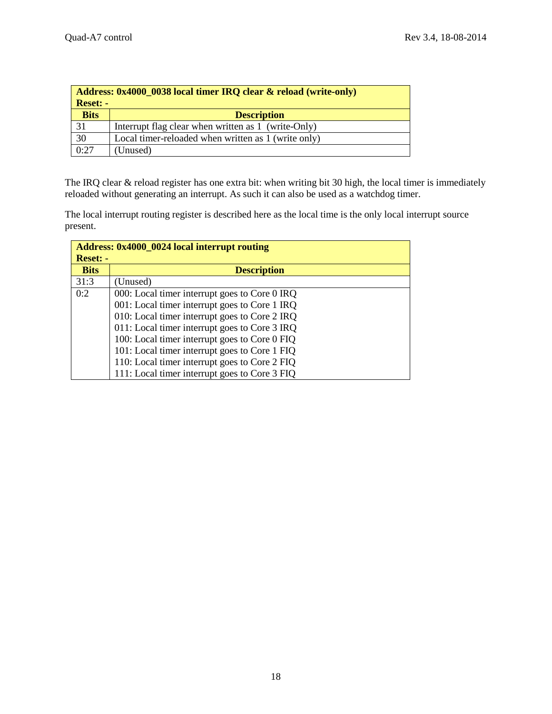| Address: 0x4000 0038 local timer IRQ clear & reload (write-only)<br><b>Reset: -</b> |                                                     |  |
|-------------------------------------------------------------------------------------|-----------------------------------------------------|--|
| <b>Bits</b>                                                                         | <b>Description</b>                                  |  |
| 31                                                                                  | Interrupt flag clear when written as 1 (write-Only) |  |
| 30                                                                                  | Local timer-reloaded when written as 1 (write only) |  |
| 0:27                                                                                | (Unused)                                            |  |

The IRQ clear & reload register has one extra bit: when writing bit 30 high, the local timer is immediately reloaded without generating an interrupt. As such it can also be used as a watchdog timer.

The local interrupt routing register is described here as the local time is the only local interrupt source present.

| <b>Address: 0x4000_0024 local interrupt routing</b> |                                               |  |
|-----------------------------------------------------|-----------------------------------------------|--|
| <b>Reset: -</b>                                     |                                               |  |
| <b>Bits</b>                                         | <b>Description</b>                            |  |
| 31:3                                                | (Unused)                                      |  |
| 0:2                                                 | 000: Local timer interrupt goes to Core 0 IRQ |  |
|                                                     | 001: Local timer interrupt goes to Core 1 IRQ |  |
|                                                     | 010: Local timer interrupt goes to Core 2 IRQ |  |
|                                                     | 011: Local timer interrupt goes to Core 3 IRQ |  |
|                                                     | 100: Local timer interrupt goes to Core 0 FIQ |  |
|                                                     | 101: Local timer interrupt goes to Core 1 FIQ |  |
|                                                     | 110: Local timer interrupt goes to Core 2 FIQ |  |
|                                                     | 111: Local timer interrupt goes to Core 3 FIO |  |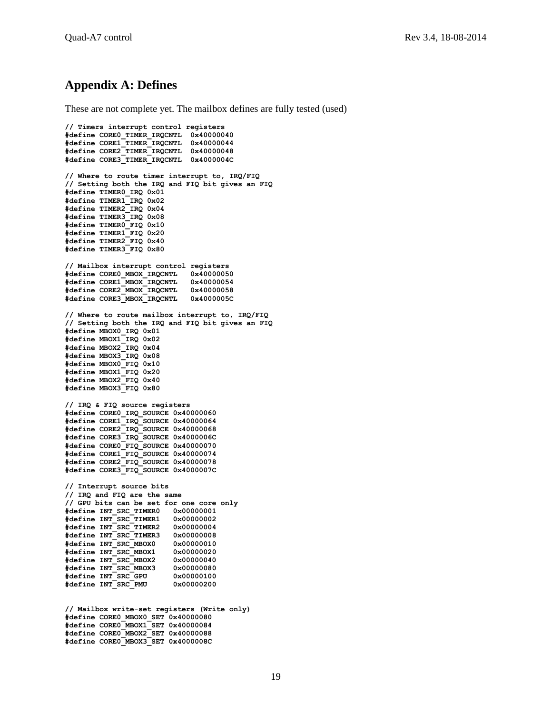## <span id="page-18-0"></span>**Appendix A: Defines**

These are not complete yet. The mailbox defines are fully tested (used)

**// Timers interrupt control registers #define CORE0\_TIMER\_IRQCNTL 0x40000040 #define CORE1\_TIMER\_IRQCNTL 0x40000044 #define CORE2\_TIMER\_IRQCNTL 0x40000048 #define CORE3\_TIMER\_IRQCNTL 0x4000004C // Where to route timer interrupt to, IRQ/FIQ // Setting both the IRQ and FIQ bit gives an FIQ #define TIMER0\_IRQ 0x01 #define TIMER1\_IRQ 0x02 #define TIMER2\_IRQ 0x04 #define TIMER3\_IRQ 0x08 #define TIMER0\_FIQ 0x10 #define TIMER1\_FIQ 0x20 #define TIMER2\_FIQ 0x40 #define TIMER3\_FIQ 0x80 // Mailbox interrupt control registers #define CORE0\_MBOX\_IRQCNTL 0x40000050 #define CORE1\_MBOX\_IRQCNTL 0x40000054 #define CORE2\_MBOX\_IRQCNTL 0x40000058 #define CORE3\_MBOX\_IRQCNTL 0x4000005C // Where to route mailbox interrupt to, IRQ/FIQ // Setting both the IRQ and FIQ bit gives an FIQ #define MBOX0\_IRQ 0x01 #define MBOX1\_IRQ 0x02 #define MBOX2\_IRQ 0x04 #define MBOX3\_IRQ 0x08 #define MBOX0\_FIQ 0x10 #define MBOX1\_FIQ 0x20 #define MBOX2\_FIQ 0x40 #define MBOX3\_FIQ 0x80 // IRQ & FIQ source registers #define CORE0\_IRQ\_SOURCE 0x40000060 #define CORE1\_IRQ\_SOURCE 0x40000064 #define CORE2\_IRQ\_SOURCE 0x40000068 #define CORE3\_IRQ\_SOURCE 0x4000006C #define CORE0\_FIQ\_SOURCE 0x40000070 #define CORE1\_FIQ\_SOURCE 0x40000074 #define CORE2\_FIQ\_SOURCE 0x40000078 #define CORE3\_FIQ\_SOURCE 0x4000007C // Interrupt source bits // IRQ and FIQ are the same // GPU bits can be set for one core only #define INT\_SRC\_TIMER0 0x00000001 #define INT\_SRC\_TIMER1 0x00000002 #define INT\_SRC\_TIMER2 0x00000004 #define INT\_SRC\_TIMER3 0x00000008 #define INT\_SRC\_MBOX0 0x00000010 #define INT\_SRC\_MBOX1 0x00000020 #define INT\_SRC\_MBOX2 0x00000040 #define INT\_SRC\_MBOX3 0x00000080 #define INT\_SRC\_GPU 0x00000100 #define INT\_SRC\_PMU 0x00000200 // Mailbox write-set registers (Write only) #define CORE0\_MBOX0\_SET 0x40000080 #define CORE0\_MBOX1\_SET 0x40000084 #define CORE0\_MBOX2\_SET 0x40000088 #define CORE0\_MBOX3\_SET 0x4000008C**